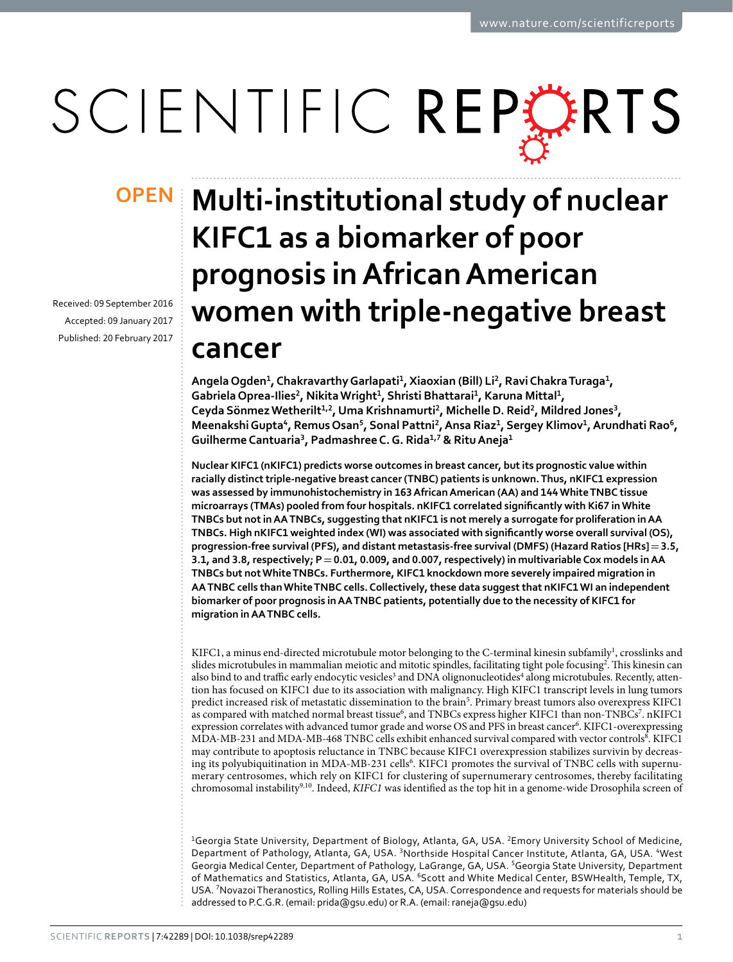# SCIENTIFIC REPERTS

Received: 09 September 2016 accepted: 09 January 2017 Published: 20 February 2017

## **OPEN** Multi-institutional study of nuclear **KIFC1 as a biomarker of poor prognosis in African American women with triple-negative breast cancer**

**AngelaOgden1, ChakravarthyGarlapati1, Xiaoxian (Bill) Li2, RaviChakraTuraga1, GabrielaOprea-Ilies2, NikitaWright1, Shristi Bhattarai1, Karuna Mittal<sup>1</sup>, Ceyda SönmezWetherilt1,2, Uma Krishnamurti2, Michelle D. Reid<sup>2</sup>, Mildred Jones<sup>3</sup>, MeenakshiGupta4, RemusOsan<sup>5</sup>, Sonal Pattni2, Ansa Riaz1, Sergey Klimov1, Arundhati Rao<sup>6</sup>, GuilhermeCantuaria3, PadmashreeC.G. Rida<sup>1</sup>,<sup>7</sup> & RituAneja1**

**Nuclear KIFC1 (nKIFC1) predicts worse outcomes in breast cancer, but its prognostic value within racially distinct triple-negative breast cancer (TNBC) patients is unknown. Thus, nKIFC1 expression was assessed by immunohistochemistry in 163 African American (AA) and 144 White TNBC tissue microarrays (TMAs) pooled from four hospitals. nKIFC1 correlated significantly with Ki67 in White TNBCs but not in AA TNBCs, suggesting that nKIFC1 is not merely a surrogate for proliferation in AA TNBCs. High nKIFC1 weighted index (WI) was associated with significantly worse overall survival (OS), progression-free survival (PFS), and distant metastasis-free survival (DMFS) (Hazard Ratios [HRs]=3.5, 3.1, and 3.8, respectively; P=0.01, 0.009, and 0.007, respectively) in multivariable Cox models in AA TNBCs but not White TNBCs. Furthermore, KIFC1 knockdown more severely impaired migration in AA TNBC cells than White TNBC cells. Collectively, these data suggest that nKIFC1 WI an independent biomarker of poor prognosis in AA TNBC patients, potentially due to the necessity of KIFC1 for migration in AA TNBC cells.**

KIFC1, a minus end-directed microtubule motor belonging to the C-terminal kinesin subfamily<sup>1</sup>, crosslinks and slides microtubules in mammalian meiotic and mitotic spindles, facilitating tight pole focusing<sup>[2](#page-5-1)</sup>. This kinesin can also bind to and traffic early endocytic vesicles<sup>[3](#page-5-2)</sup> and DNA olignonucleotides<sup>[4](#page-5-3)</sup> along microtubules. Recently, attention has focused on KIFC1 due to its association with malignancy. High KIFC1 transcript levels in lung tumors predict increased risk of metastatic dissemination to the brain<sup>[5](#page-5-4)</sup>. Primary breast tumors also overexpress KIFC1 as compared with matched normal breast tissue<sup>6</sup>, and TNBCs express higher KIFC1 than non-TNBCs<sup>[7](#page-5-6)</sup>. nKIFC1 expression correlates with advanced tumor grade and worse OS and PFS in breast cancer<sup>[6](#page-5-5)</sup>. KIFC1-overexpressing MDA-MB-231 and MDA-MB-46[8](#page-5-7) TNBC cells exhibit enhanced survival compared with vector controls<sup>8</sup>. KIFC1 may contribute to apoptosis reluctance in TNBC because KIFC1 overexpression stabilizes survivin by decreas-ing its polyubiquitination in MDA-MB-231 cells<sup>[6](#page-5-5)</sup>. KIFC1 promotes the survival of TNBC cells with supernumerary centrosomes, which rely on KIFC1 for clustering of supernumerary centrosomes, thereby facilitating chromosomal instability[9](#page-5-8),[10](#page-5-9). Indeed, *KIFC1* was identified as the top hit in a genome-wide Drosophila screen of

<sup>1</sup>Georgia State University, Department of Biology, Atlanta, GA, USA. <sup>2</sup>Emory University School of Medicine, Department of Pathology, Atlanta, GA, USA. <sup>3</sup>Northside Hospital Cancer Institute, Atlanta, GA, USA. <sup>4</sup>West Georgia Medical Center, Department of Pathology, LaGrange, GA, USA. <sup>5</sup>Georgia State University, Department of Mathematics and Statistics, Atlanta, GA, USA. <sup>6</sup>Scott and White Medical Center, BSWHealth, Temple, TX, USA. <sup>7</sup> Novazoi Theranostics, Rolling Hills Estates, CA, USA. Correspondence and requests for materials should be addressed to P.C.G.R. (email: [prida@gsu.edu](mailto:prida@gsu.edu)) or R.A. (email: [raneja@gsu.edu](mailto:raneja@gsu.edu))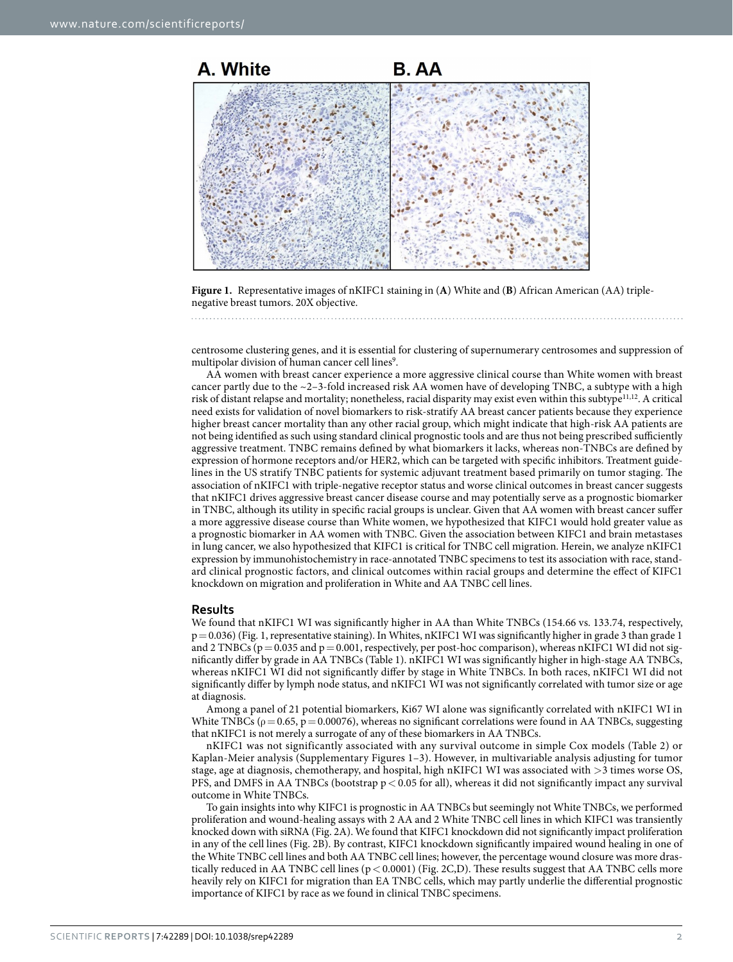

<span id="page-1-0"></span>**Figure 1.** Representative images of nKIFC1 staining in (**A**) White and (**B**) African American (AA) triplenegative breast tumors. 20X objective.

centrosome clustering genes, and it is essential for clustering of supernumerary centrosomes and suppression of multipolar division of human cancer cell lines<sup>[9](#page-5-8)</sup>.

AA women with breast cancer experience a more aggressive clinical course than White women with breast cancer partly due to the ~2–3-fold increased risk AA women have of developing TNBC, a subtype with a high risk of distant relapse and mortality; nonetheless, racial disparity may exist even within this subtype<sup>[11](#page-6-0),[12](#page-6-1)</sup>. A critical need exists for validation of novel biomarkers to risk-stratify AA breast cancer patients because they experience higher breast cancer mortality than any other racial group, which might indicate that high-risk AA patients are not being identified as such using standard clinical prognostic tools and are thus not being prescribed sufficiently aggressive treatment. TNBC remains defined by what biomarkers it lacks, whereas non-TNBCs are defined by expression of hormone receptors and/or HER2, which can be targeted with specific inhibitors. Treatment guidelines in the US stratify TNBC patients for systemic adjuvant treatment based primarily on tumor staging. The association of nKIFC1 with triple-negative receptor status and worse clinical outcomes in breast cancer suggests that nKIFC1 drives aggressive breast cancer disease course and may potentially serve as a prognostic biomarker in TNBC, although its utility in specific racial groups is unclear. Given that AA women with breast cancer suffer a more aggressive disease course than White women, we hypothesized that KIFC1 would hold greater value as a prognostic biomarker in AA women with TNBC. Given the association between KIFC1 and brain metastases in lung cancer, we also hypothesized that KIFC1 is critical for TNBC cell migration. Herein, we analyze nKIFC1 expression by immunohistochemistry in race-annotated TNBC specimens to test its association with race, standard clinical prognostic factors, and clinical outcomes within racial groups and determine the effect of KIFC1 knockdown on migration and proliferation in White and AA TNBC cell lines.

#### **Results**

We found that nKIFC1 WI was significantly higher in AA than White TNBCs (154.66 vs. 133.74, respectively, p= 0.036) [\(Fig. 1,](#page-1-0) representative staining). In Whites, nKIFC1 WI was significantly higher in grade 3 than grade 1 and 2 TNBCs  $(p=0.035$  and  $p=0.001$ , respectively, per post-hoc comparison), whereas nKIFC1 WI did not significantly differ by grade in AA TNBCs ([Table 1](#page-2-0)). nKIFC1 WI was significantly higher in high-stage AA TNBCs, whereas nKIFC1 WI did not significantly differ by stage in White TNBCs. In both races, nKIFC1 WI did not significantly differ by lymph node status, and nKIFC1 WI was not significantly correlated with tumor size or age at diagnosis.

Among a panel of 21 potential biomarkers, Ki67 WI alone was significantly correlated with nKIFC1 WI in White TNBCs ( $\rho = 0.65$ ,  $p = 0.00076$ ), whereas no significant correlations were found in AA TNBCs, suggesting that nKIFC1 is not merely a surrogate of any of these biomarkers in AA TNBCs.

nKIFC1 was not significantly associated with any survival outcome in simple Cox models ([Table 2\)](#page-2-1) or Kaplan-Meier analysis (Supplementary Figures 1–3). However, in multivariable analysis adjusting for tumor stage, age at diagnosis, chemotherapy, and hospital, high nKIFC1 WI was associated with >3 times worse OS, PFS, and DMFS in AA TNBCs (bootstrap  $p < 0.05$  for all), whereas it did not significantly impact any survival outcome in White TNBCs.

To gain insights into why KIFC1 is prognostic in AA TNBCs but seemingly not White TNBCs, we performed proliferation and wound-healing assays with 2 AA and 2 White TNBC cell lines in which KIFC1 was transiently knocked down with siRNA [\(Fig. 2A\)](#page-3-0). We found that KIFC1 knockdown did not significantly impact proliferation in any of the cell lines ([Fig. 2B\)](#page-3-0). By contrast, KIFC1 knockdown significantly impaired wound healing in one of the White TNBC cell lines and both AA TNBC cell lines; however, the percentage wound closure was more drastically reduced in AA TNBC cell lines (p< 0.0001) ([Fig. 2C,D\)](#page-3-0). These results suggest that AA TNBC cells more heavily rely on KIFC1 for migration than EA TNBC cells, which may partly underlie the differential prognostic importance of KIFC1 by race as we found in clinical TNBC specimens.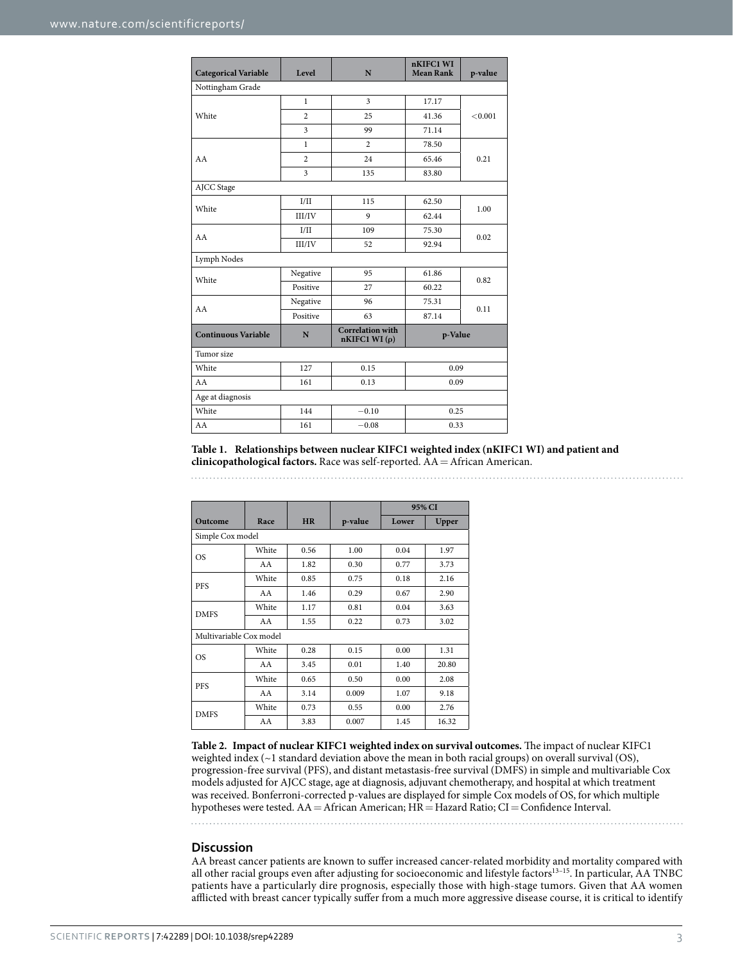<span id="page-2-0"></span>

| <b>Categorical Variable</b> | Level                   | N                                       | nKIFC1 WI<br><b>Mean Rank</b> | p-value |  |  |  |  |
|-----------------------------|-------------------------|-----------------------------------------|-------------------------------|---------|--|--|--|--|
| Nottingham Grade            |                         |                                         |                               |         |  |  |  |  |
| White                       | $\mathbf{1}$            | 3                                       | 17.17                         | < 0.001 |  |  |  |  |
|                             | $\overline{2}$          | 25                                      | 41.36                         |         |  |  |  |  |
|                             | 3                       | 99                                      | 71.14                         |         |  |  |  |  |
|                             | $\mathbf{1}$            | $\overline{c}$                          | 78.50                         | 0.21    |  |  |  |  |
| AA                          | $\overline{c}$          | 24                                      | 65.46                         |         |  |  |  |  |
|                             | $\overline{\mathbf{3}}$ | 135                                     | 83.80                         |         |  |  |  |  |
| AJCC Stage                  |                         |                                         |                               |         |  |  |  |  |
| White                       | I/II                    | 115                                     | 62.50                         | 1.00    |  |  |  |  |
|                             | III/IV                  | 9                                       | 62.44                         |         |  |  |  |  |
| AA                          | I/II                    | 109                                     | 75.30                         | 0.02    |  |  |  |  |
|                             | III/IV                  | 52                                      | 92.94                         |         |  |  |  |  |
| Lymph Nodes                 |                         |                                         |                               |         |  |  |  |  |
| White                       | Negative                | 95                                      | 61.86                         | 0.82    |  |  |  |  |
|                             | Positive                | 27                                      | 60.22                         |         |  |  |  |  |
| AA                          | Negative                | 96                                      | 75.31                         | 0.11    |  |  |  |  |
|                             | Positive                | 63                                      | 87.14                         |         |  |  |  |  |
| <b>Continuous Variable</b>  | N                       | <b>Correlation</b> with<br>nKIFC1 WI(p) | p-Value                       |         |  |  |  |  |
| Tumor size                  |                         |                                         |                               |         |  |  |  |  |
| White                       | 127                     | 0.15                                    | 0.09                          |         |  |  |  |  |
| AA                          | 161                     | 0.13                                    | 0.09                          |         |  |  |  |  |
| Age at diagnosis            |                         |                                         |                               |         |  |  |  |  |
| White                       | 144                     | $-0.10$                                 | 0.25                          |         |  |  |  |  |
| AA                          | 161                     | $-0.08$                                 | 0.33                          |         |  |  |  |  |

**Table 1. Relationships between nuclear KIFC1 weighted index (nKIFC1 WI) and patient and clinicopathological factors.** Race was self-reported. AA=African American.

<span id="page-2-1"></span>

|                         |       |           |         | 95% CI |       |  |  |
|-------------------------|-------|-----------|---------|--------|-------|--|--|
| Outcome                 | Race  | <b>HR</b> | p-value | Lower  | Upper |  |  |
| Simple Cox model        |       |           |         |        |       |  |  |
| OS                      | White | 0.56      | 1.00    | 0.04   | 1.97  |  |  |
|                         | AA    | 1.82      | 0.30    | 0.77   | 3.73  |  |  |
| <b>PFS</b>              | White | 0.85      | 0.75    | 0.18   | 2.16  |  |  |
|                         | AA    | 1.46      | 0.29    | 0.67   | 2.90  |  |  |
| <b>DMFS</b>             | White | 1.17      | 0.81    | 0.04   | 3.63  |  |  |
|                         | AA    | 1.55      | 0.22    | 0.73   | 3.02  |  |  |
| Multivariable Cox model |       |           |         |        |       |  |  |
| <b>OS</b>               | White | 0.28      | 0.15    | 0.00   | 1.31  |  |  |
|                         | AA    | 3.45      | 0.01    | 1.40   | 20.80 |  |  |
| PFS                     | White | 0.65      | 0.50    | 0.00   | 2.08  |  |  |
|                         | AA    | 3.14      | 0.009   | 1.07   | 9.18  |  |  |
| <b>DMFS</b>             | White | 0.73      | 0.55    | 0.00   | 2.76  |  |  |
|                         | AA    | 3.83      | 0.007   | 1.45   | 16.32 |  |  |

**Table 2. Impact of nuclear KIFC1 weighted index on survival outcomes.** The impact of nuclear KIFC1 weighted index (~1 standard deviation above the mean in both racial groups) on overall survival (OS), progression-free survival (PFS), and distant metastasis-free survival (DMFS) in simple and multivariable Cox models adjusted for AJCC stage, age at diagnosis, adjuvant chemotherapy, and hospital at which treatment was received. Bonferroni-corrected p-values are displayed for simple Cox models of OS, for which multiple hypotheses were tested. AA=African American; HR=Hazard Ratio; CI=Confidence Interval.

#### **Discussion**

AA breast cancer patients are known to suffer increased cancer-related morbidity and mortality compared with all other racial groups even after adjusting for socioeconomic and lifestyle factors<sup>13-15</sup>. In particular, AA TNBC patients have a particularly dire prognosis, especially those with high-stage tumors. Given that AA women afflicted with breast cancer typically suffer from a much more aggressive disease course, it is critical to identify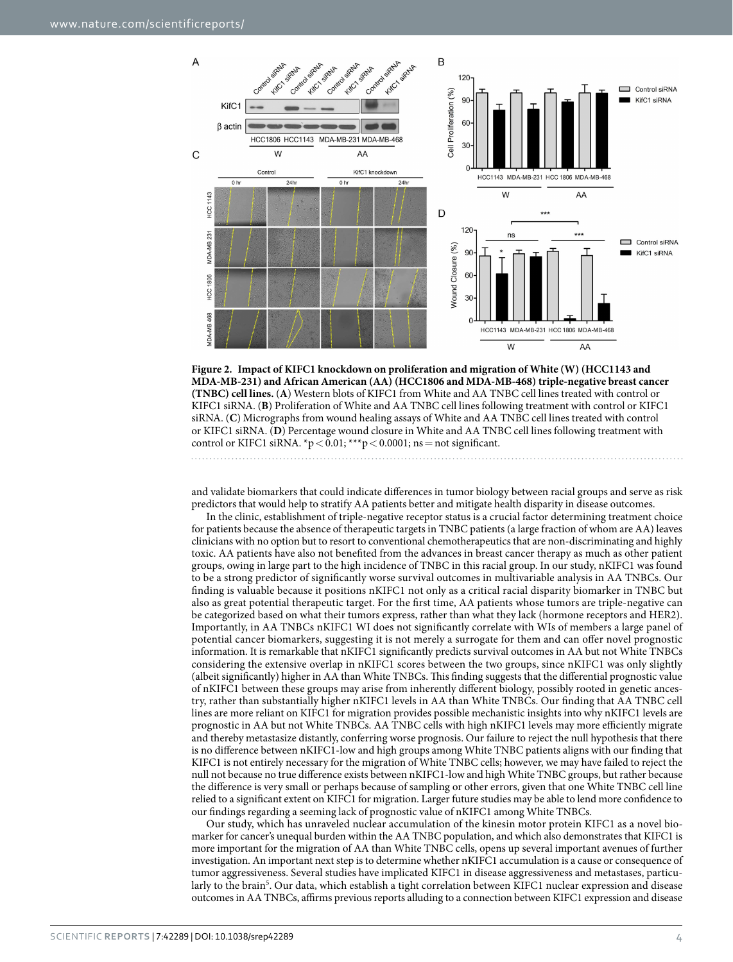$\overline{A}$ 



<span id="page-3-0"></span>**Figure 2. Impact of KIFC1 knockdown on proliferation and migration of White (W) (HCC1143 and MDA-MB-231) and African American (AA) (HCC1806 and MDA-MB-468) triple-negative breast cancer (TNBC) cell lines.** (**A**) Western blots of KIFC1 from White and AA TNBC cell lines treated with control or KIFC1 siRNA. (**B**) Proliferation of White and AA TNBC cell lines following treatment with control or KIFC1 siRNA. (**C**) Micrographs from wound healing assays of White and AA TNBC cell lines treated with control or KIFC1 siRNA. (**D**) Percentage wound closure in White and AA TNBC cell lines following treatment with control or KIFC1 siRNA.  $p < 0.01$ ; \*\*\*p < 0.0001; ns = not significant.

and validate biomarkers that could indicate differences in tumor biology between racial groups and serve as risk predictors that would help to stratify AA patients better and mitigate health disparity in disease outcomes.

In the clinic, establishment of triple-negative receptor status is a crucial factor determining treatment choice for patients because the absence of therapeutic targets in TNBC patients (a large fraction of whom are AA) leaves clinicians with no option but to resort to conventional chemotherapeutics that are non-discriminating and highly toxic. AA patients have also not benefited from the advances in breast cancer therapy as much as other patient groups, owing in large part to the high incidence of TNBC in this racial group. In our study, nKIFC1 was found to be a strong predictor of significantly worse survival outcomes in multivariable analysis in AA TNBCs. Our finding is valuable because it positions nKIFC1 not only as a critical racial disparity biomarker in TNBC but also as great potential therapeutic target. For the first time, AA patients whose tumors are triple-negative can be categorized based on what their tumors express, rather than what they lack (hormone receptors and HER2). Importantly, in AA TNBCs nKIFC1 WI does not significantly correlate with WIs of members a large panel of potential cancer biomarkers, suggesting it is not merely a surrogate for them and can offer novel prognostic information. It is remarkable that nKIFC1 significantly predicts survival outcomes in AA but not White TNBCs considering the extensive overlap in nKIFC1 scores between the two groups, since nKIFC1 was only slightly (albeit significantly) higher in AA than White TNBCs. This finding suggests that the differential prognostic value of nKIFC1 between these groups may arise from inherently different biology, possibly rooted in genetic ancestry, rather than substantially higher nKIFC1 levels in AA than White TNBCs. Our finding that AA TNBC cell lines are more reliant on KIFC1 for migration provides possible mechanistic insights into why nKIFC1 levels are prognostic in AA but not White TNBCs. AA TNBC cells with high nKIFC1 levels may more efficiently migrate and thereby metastasize distantly, conferring worse prognosis. Our failure to reject the null hypothesis that there is no difference between nKIFC1-low and high groups among White TNBC patients aligns with our finding that KIFC1 is not entirely necessary for the migration of White TNBC cells; however, we may have failed to reject the null not because no true difference exists between nKIFC1-low and high White TNBC groups, but rather because the difference is very small or perhaps because of sampling or other errors, given that one White TNBC cell line relied to a significant extent on KIFC1 for migration. Larger future studies may be able to lend more confidence to our findings regarding a seeming lack of prognostic value of nKIFC1 among White TNBCs.

Our study, which has unraveled nuclear accumulation of the kinesin motor protein KIFC1 as a novel biomarker for cancer's unequal burden within the AA TNBC population, and which also demonstrates that KIFC1 is more important for the migration of AA than White TNBC cells, opens up several important avenues of further investigation. An important next step is to determine whether nKIFC1 accumulation is a cause or consequence of tumor aggressiveness. Several studies have implicated KIFC1 in disease aggressiveness and metastases, particu-larly to the brain<sup>[5](#page-5-4)</sup>. Our data, which establish a tight correlation between KIFC1 nuclear expression and disease outcomes in AA TNBCs, affirms previous reports alluding to a connection between KIFC1 expression and disease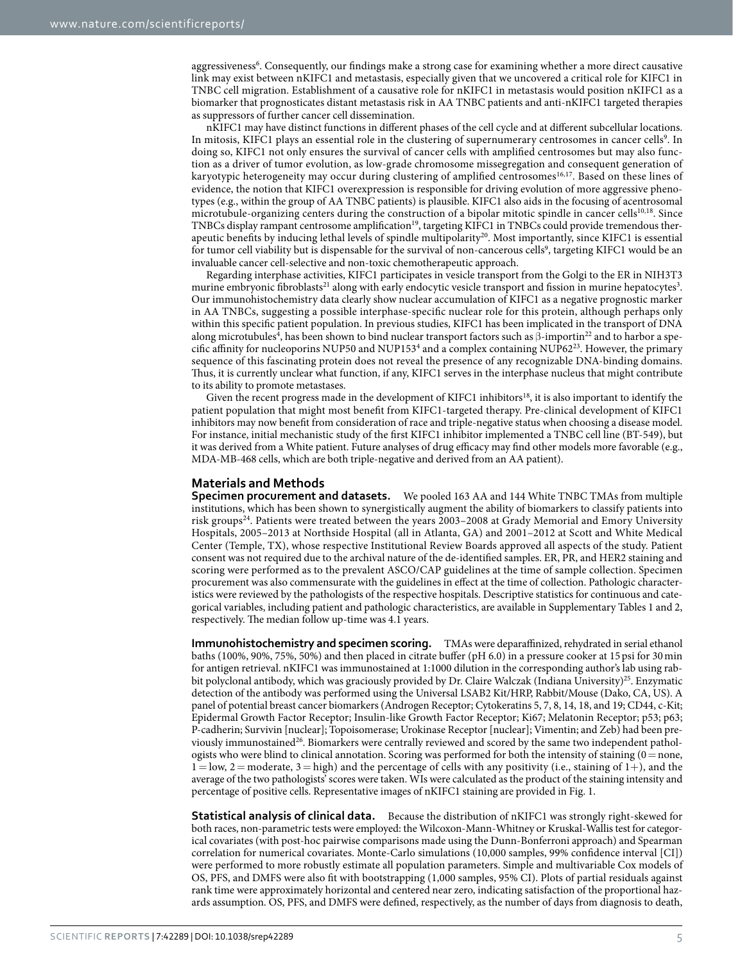aggressiveness<sup>[6](#page-5-5)</sup>. Consequently, our findings make a strong case for examining whether a more direct causative link may exist between nKIFC1 and metastasis, especially given that we uncovered a critical role for KIFC1 in TNBC cell migration. Establishment of a causative role for nKIFC1 in metastasis would position nKIFC1 as a biomarker that prognosticates distant metastasis risk in AA TNBC patients and anti-nKIFC1 targeted therapies as suppressors of further cancer cell dissemination.

nKIFC1 may have distinct functions in different phases of the cell cycle and at different subcellular locations. In mitosis, KIFC1 plays an essential role in the clustering of supernumerary centrosomes in cancer cells<sup>9</sup>. In doing so, KIFC1 not only ensures the survival of cancer cells with amplified centrosomes but may also function as a driver of tumor evolution, as low-grade chromosome missegregation and consequent generation of karyotypic heterogeneity may occur during clustering of amplified centrosomes<sup>16[,17](#page-6-4)</sup>. Based on these lines of evidence, the notion that KIFC1 overexpression is responsible for driving evolution of more aggressive phenotypes (e.g., within the group of AA TNBC patients) is plausible. KIFC1 also aids in the focusing of acentrosomal microtubule-organizing centers during the construction of a bipolar mitotic spindle in cancer cells<sup>[10,](#page-5-9)18</sup>. Since TNBCs display rampant centrosome amplification<sup>19</sup>, targeting KIFC1 in TNBCs could provide tremendous ther-apeutic benefits by inducing lethal levels of spindle multipolarity<sup>[20](#page-6-7)</sup>. Most importantly, since KIFC1 is essential for tumor cell viability but is dispensable for the survival of non-cancerous cells<sup>[9](#page-5-8)</sup>, targeting KIFC1 would be an invaluable cancer cell-selective and non-toxic chemotherapeutic approach.

Regarding interphase activities, KIFC1 participates in vesicle transport from the Golgi to the ER in NIH3T3 murine embryonic fibroblasts<sup>[21](#page-6-8)</sup> along with early endocytic vesicle transport and fission in murine hepatocytes<sup>[3](#page-5-2)</sup>. Our immunohistochemistry data clearly show nuclear accumulation of KIFC1 as a negative prognostic marker in AA TNBCs, suggesting a possible interphase-specific nuclear role for this protein, although perhaps only within this specific patient population. In previous studies, KIFC1 has been implicated in the transport of DNA along microtubules<sup>[4](#page-5-3)</sup>, has been shown to bind nuclear transport factors such as  $\beta$ -importin<sup>22</sup> and to harbor a spe-cific affinity for nucleoporins NUP50 and NUP153<sup>4</sup> and a complex containing NUP62<sup>[23](#page-6-10)</sup>. However, the primary sequence of this fascinating protein does not reveal the presence of any recognizable DNA-binding domains. Thus, it is currently unclear what function, if any, KIFC1 serves in the interphase nucleus that might contribute to its ability to promote metastases.

Given the recent progress made in the development of KIFC1 inhibitors<sup>18</sup>, it is also important to identify the patient population that might most benefit from KIFC1-targeted therapy. Pre-clinical development of KIFC1 inhibitors may now benefit from consideration of race and triple-negative status when choosing a disease model. For instance, initial mechanistic study of the first KIFC1 inhibitor implemented a TNBC cell line (BT-549), but it was derived from a White patient. Future analyses of drug efficacy may find other models more favorable (e.g., MDA-MB-468 cells, which are both triple-negative and derived from an AA patient).

### **Materials and Methods**

**Specimen procurement and datasets.** We pooled 163 AA and 144 White TNBC TMAs from multiple institutions, which has been shown to synergistically augment the ability of biomarkers to classify patients into risk groups<sup>24</sup>. Patients were treated between the years 2003–2008 at Grady Memorial and Emory University Hospitals, 2005–2013 at Northside Hospital (all in Atlanta, GA) and 2001–2012 at Scott and White Medical Center (Temple, TX), whose respective Institutional Review Boards approved all aspects of the study. Patient consent was not required due to the archival nature of the de-identified samples. ER, PR, and HER2 staining and scoring were performed as to the prevalent ASCO/CAP guidelines at the time of sample collection. Specimen procurement was also commensurate with the guidelines in effect at the time of collection. Pathologic characteristics were reviewed by the pathologists of the respective hospitals. Descriptive statistics for continuous and categorical variables, including patient and pathologic characteristics, are available in Supplementary Tables 1 and 2, respectively. The median follow up-time was 4.1 years.

**Immunohistochemistry and specimen scoring.** TMAs were deparaffinized, rehydrated in serial ethanol baths (100%, 90%, 75%, 50%) and then placed in citrate buffer (pH 6.0) in a pressure cooker at 15psi for 30min for antigen retrieval. nKIFC1 was immunostained at 1:1000 dilution in the corresponding author's lab using rab-bit polyclonal antibody, which was graciously provided by Dr. Claire Walczak (Indiana University)<sup>[25](#page-6-12)</sup>. Enzymatic detection of the antibody was performed using the Universal LSAB2 Kit/HRP, Rabbit/Mouse (Dako, CA, US). A panel of potential breast cancer biomarkers (Androgen Receptor; Cytokeratins 5, 7, 8, 14, 18, and 19; CD44, c-Kit; Epidermal Growth Factor Receptor; Insulin-like Growth Factor Receptor; Ki67; Melatonin Receptor; p53; p63; P-cadherin; Survivin [nuclear]; Topoisomerase; Urokinase Receptor [nuclear]; Vimentin; and Zeb) had been previously immunostained<sup>26</sup>. Biomarkers were centrally reviewed and scored by the same two independent pathologists who were blind to clinical annotation. Scoring was performed for both the intensity of staining  $(0=$ none,  $1 = \text{low}, 2 = \text{moderate}, 3 = \text{high}$ ) and the percentage of cells with any positivity (i.e., staining of 1+), and the average of the two pathologists' scores were taken. WIs were calculated as the product of the staining intensity and percentage of positive cells. Representative images of nKIFC1 staining are provided in [Fig. 1](#page-1-0).

**Statistical analysis of clinical data.** Because the distribution of nKIFC1 was strongly right-skewed for both races, non-parametric tests were employed: the Wilcoxon-Mann-Whitney or Kruskal-Wallis test for categorical covariates (with post-hoc pairwise comparisons made using the Dunn-Bonferroni approach) and Spearman correlation for numerical covariates. Monte-Carlo simulations (10,000 samples, 99% confidence interval [CI]) were performed to more robustly estimate all population parameters. Simple and multivariable Cox models of OS, PFS, and DMFS were also fit with bootstrapping (1,000 samples, 95% CI). Plots of partial residuals against rank time were approximately horizontal and centered near zero, indicating satisfaction of the proportional hazards assumption. OS, PFS, and DMFS were defined, respectively, as the number of days from diagnosis to death,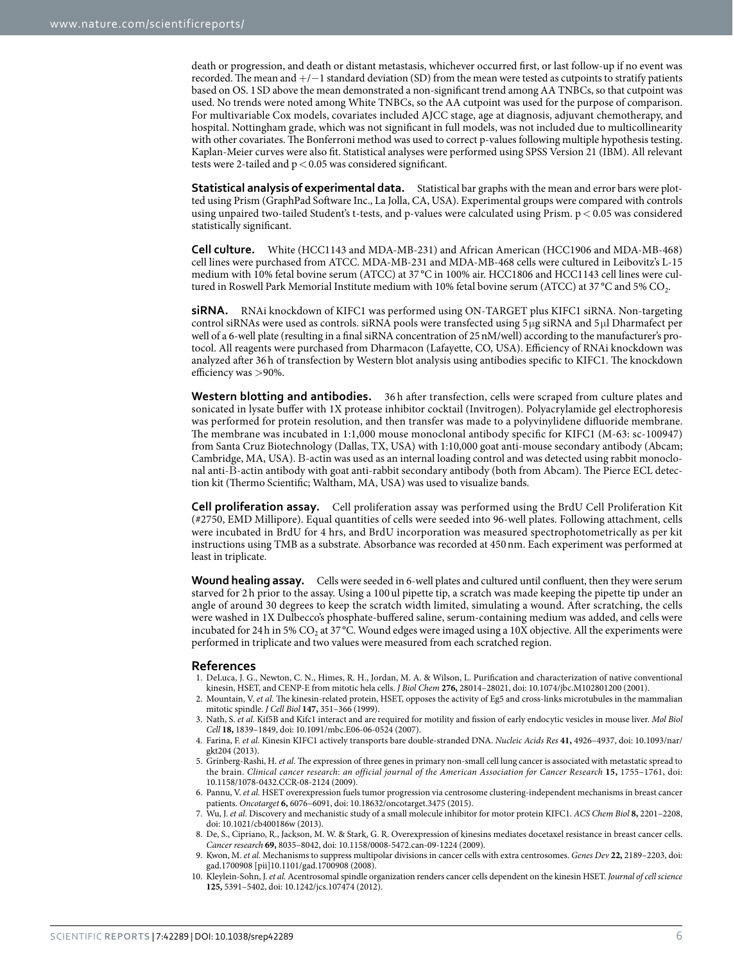death or progression, and death or distant metastasis, whichever occurred first, or last follow-up if no event was recorded. The mean and +/−1 standard deviation (SD) from the mean were tested as cutpoints to stratify patients based on OS. 1SD above the mean demonstrated a non-significant trend among AA TNBCs, so that cutpoint was used. No trends were noted among White TNBCs, so the AA cutpoint was used for the purpose of comparison. For multivariable Cox models, covariates included AJCC stage, age at diagnosis, adjuvant chemotherapy, and hospital. Nottingham grade, which was not significant in full models, was not included due to multicollinearity with other covariates. The Bonferroni method was used to correct p-values following multiple hypothesis testing. Kaplan-Meier curves were also fit. Statistical analyses were performed using SPSS Version 21 (IBM). All relevant tests were 2-tailed and  $p < 0.05$  was considered significant.

**Statistical analysis of experimental data.** Statistical bar graphs with the mean and error bars were plotted using Prism (GraphPad Software Inc., La Jolla, CA, USA). Experimental groups were compared with controls using unpaired two-tailed Student's t-tests, and p-values were calculated using Prism. p< 0.05 was considered statistically significant.

**Cell culture.** White (HCC1143 and MDA-MB-231) and African American (HCC1906 and MDA-MB-468) cell lines were purchased from ATCC. MDA-MB-231 and MDA-MB-468 cells were cultured in Leibovitz's L-15 medium with 10% fetal bovine serum (ATCC) at 37 °C in 100% air. HCC1806 and HCC1143 cell lines were cultured in Roswell Park Memorial Institute medium with 10% fetal bovine serum (ATCC) at 37 °C and 5% CO<sub>2</sub>.

**siRNA.** RNAi knockdown of KIFC1 was performed using ON-TARGET plus KIFC1 siRNA. Non-targeting control siRNAs were used as controls. siRNA pools were transfected using 5 μg siRNA and 5 μl Dharmafect per well of a 6-well plate (resulting in a final siRNA concentration of 25nM/well) according to the manufacturer's protocol. All reagents were purchased from Dharmacon (Lafayette, CO, USA). Efficiency of RNAi knockdown was analyzed after 36h of transfection by Western blot analysis using antibodies specific to KIFC1. The knockdown efficiency was >90%.

**Western blotting and antibodies.** 36 h after transfection, cells were scraped from culture plates and sonicated in lysate buffer with 1X protease inhibitor cocktail (Invitrogen). Polyacrylamide gel electrophoresis was performed for protein resolution, and then transfer was made to a polyvinylidene difluoride membrane. The membrane was incubated in 1:1,000 mouse monoclonal antibody specific for KIFC1 (M-63: sc-100947) from Santa Cruz Biotechnology (Dallas, TX, USA) with 1:10,000 goat anti-mouse secondary antibody (Abcam; Cambridge, MA, USA). Β-actin was used as an internal loading control and was detected using rabbit monoclonal anti-Β-actin antibody with goat anti-rabbit secondary antibody (both from Abcam). The Pierce ECL detection kit (Thermo Scientific; Waltham, MA, USA) was used to visualize bands.

**Cell proliferation assay.** Cell proliferation assay was performed using the BrdU Cell Proliferation Kit (#2750, EMD Millipore). Equal quantities of cells were seeded into 96-well plates. Following attachment, cells were incubated in BrdU for 4 hrs, and BrdU incorporation was measured spectrophotometrically as per kit instructions using TMB as a substrate. Absorbance was recorded at 450nm. Each experiment was performed at least in triplicate.

**Wound healing assay.** Cells were seeded in 6-well plates and cultured until confluent, then they were serum starved for 2 h prior to the assay. Using a 100 ul pipette tip, a scratch was made keeping the pipette tip under an angle of around 30 degrees to keep the scratch width limited, simulating a wound. After scratching, the cells were washed in 1X Dulbecco's phosphate-buffered saline, serum-containing medium was added, and cells were incubated for 24h in 5%  $CO_2$  at 37 °C. Wound edges were imaged using a 10X objective. All the experiments were performed in triplicate and two values were measured from each scratched region.

#### **References**

- <span id="page-5-0"></span>1. DeLuca, J. G., Newton, C. N., Himes, R. H., Jordan, M. A. & Wilson, L. Purification and characterization of native conventional kinesin, HSET, and CENP-E from mitotic hela cells. *J Biol Chem* **276,** 28014–28021, doi: 10.1074/jbc.M102801200 (2001).
- <span id="page-5-1"></span>2. Mountain, V. *et al.* The kinesin-related protein, HSET, opposes the activity of Eg5 and cross-links microtubules in the mammalian mitotic spindle. *J Cell Biol* **147,** 351–366 (1999).
- <span id="page-5-2"></span>3. Nath, S. *et al.* Kif5B and Kifc1 interact and are required for motility and fission of early endocytic vesicles in mouse liver. *Mol Biol Cell* **18,** 1839–1849, doi: 10.1091/mbc.E06-06-0524 (2007).
- <span id="page-5-3"></span>4. Farina, F. *et al.* Kinesin KIFC1 actively transports bare double-stranded DNA. *Nucleic Acids Res* **41,** 4926–4937, doi: 10.1093/nar/ gkt204 (2013).
- <span id="page-5-4"></span>5. Grinberg-Rashi, H. *et al.* The expression of three genes in primary non-small cell lung cancer is associated with metastatic spread to the brain. *Clinical cancer research*: *an official journal of the American Association for Cancer Research* **15,** 1755–1761, doi: 10.1158/1078-0432.CCR-08-2124 (2009).
- <span id="page-5-5"></span>6. Pannu, V. *et al.* HSET overexpression fuels tumor progression via centrosome clustering-independent mechanisms in breast cancer patients. *Oncotarget* **6,** 6076–6091, doi: 10.18632/oncotarget.3475 (2015).
- <span id="page-5-6"></span>7. Wu, J. *et al.* Discovery and mechanistic study of a small molecule inhibitor for motor protein KIFC1. *ACS Chem Biol* **8,** 2201–2208, doi: 10.1021/cb400186w (2013).
- <span id="page-5-7"></span>8. De, S., Cipriano, R., Jackson, M. W. & Stark, G. R. Overexpression of kinesins mediates docetaxel resistance in breast cancer cells. *Cancer research* **69,** 8035–8042, doi: 10.1158/0008-5472.can-09-1224 (2009).
- <span id="page-5-8"></span>9. Kwon, M. *et al.* Mechanisms to suppress multipolar divisions in cancer cells with extra centrosomes. *Genes Dev* **22,** 2189–2203, doi: gad.1700908 [pii]10.1101/gad.1700908 (2008).
- <span id="page-5-9"></span>10. Kleylein-Sohn, J. *et al.* Acentrosomal spindle organization renders cancer cells dependent on the kinesin HSET. *Journal of cell science* **125,** 5391–5402, doi: 10.1242/jcs.107474 (2012).